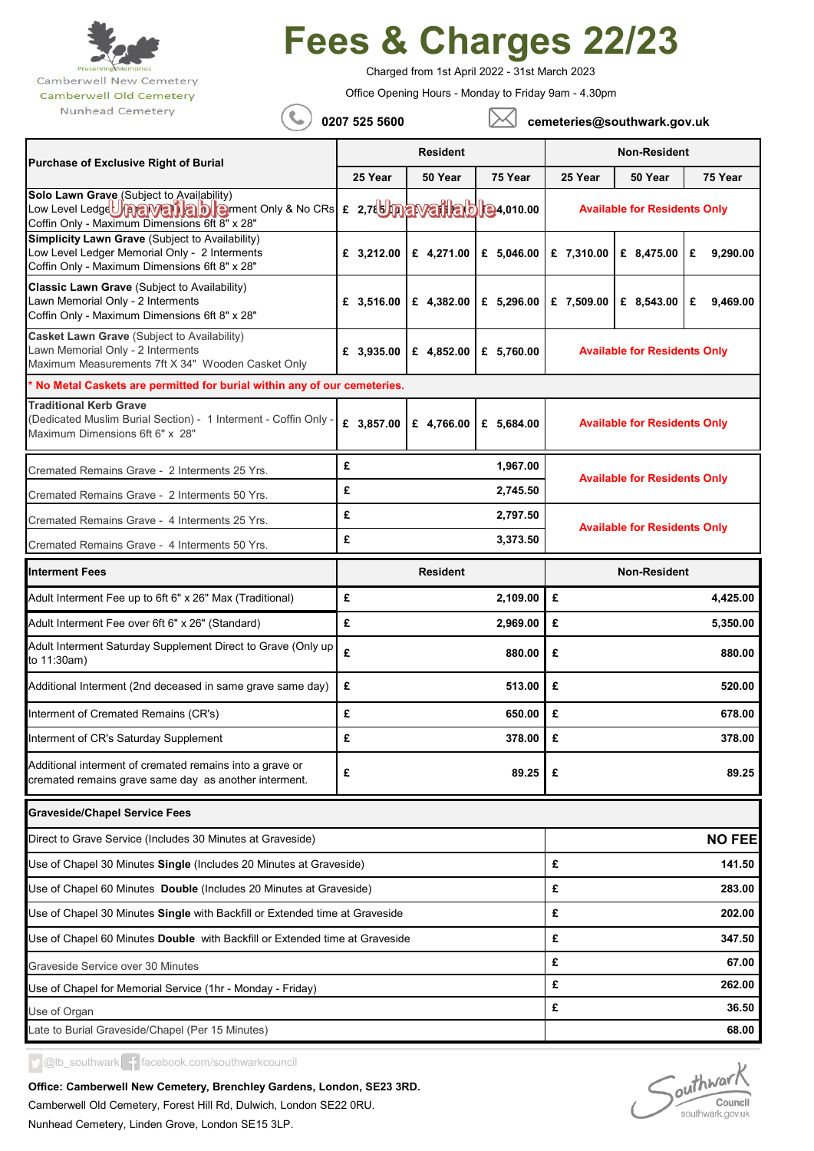

## **Fees & Charges 22/23**

Charged from 1st April 2022 - 31st March 2023

Office Opening Hours - Monday to Friday 9am - 4.30pm

Nunhead Cemetery

 **0207 525 5600 cemeteries@southwark.gov.uk**

|                                                                                                                                                                                   | <b>Resident</b> |                                                                 |               | <b>Non-Resident</b>                 |                                     |                        |  |
|-----------------------------------------------------------------------------------------------------------------------------------------------------------------------------------|-----------------|-----------------------------------------------------------------|---------------|-------------------------------------|-------------------------------------|------------------------|--|
| <b>Purchase of Exclusive Right of Burial</b>                                                                                                                                      | 25 Year         | 50 Year                                                         | 75 Year       | 25 Year                             | 50 Year                             | 75 Year                |  |
| Solo Lawn Grave (Subject to Availability)<br>Low Level Ledge Una a Vente to the ment Only & No CRs E 2,7th nave the ble 4,010.00<br>Coffin Only - Maximum Dimensions 6ft 8" x 28" |                 |                                                                 |               | <b>Available for Residents Only</b> |                                     |                        |  |
| <b>Simplicity Lawn Grave (Subject to Availability)</b><br>Low Level Ledger Memorial Only - 2 Interments<br>Coffin Only - Maximum Dimensions 6ft 8" x 28"                          | £ 3,212.00      | £ 4,271.00                                                      | £ 5,046.00    | £ 7,310.00                          | £ 8,475.00                          | £<br>9,290.00          |  |
| Classic Lawn Grave (Subject to Availability)<br>Lawn Memorial Only - 2 Interments<br>Coffin Only - Maximum Dimensions 6ft 8" x 28"                                                | £ $3,516.00$    | £ 4,382.00                                                      | £ 5,296.00    | £ 7,509.00                          | £ 8,543.00                          | £<br>9,469.00          |  |
| Casket Lawn Grave (Subject to Availability)<br>Lawn Memorial Only - 2 Interments<br>Maximum Measurements 7ft X 34" Wooden Casket Only                                             | £ 3,935.00      | <b>Available for Residents Only</b><br>£ 4,852.00<br>£ 5,760.00 |               |                                     |                                     |                        |  |
| * No Metal Caskets are permitted for burial within any of our cemeteries.                                                                                                         |                 |                                                                 |               |                                     |                                     |                        |  |
| <b>Traditional Kerb Grave</b><br>(Dedicated Muslim Burial Section) - 1 Interment - Coffin Only -<br>Maximum Dimensions 6ft 6" x 28"                                               | £ 3,857.00      | £ 4,766.00                                                      | £ 5,684.00    | <b>Available for Residents Only</b> |                                     |                        |  |
| Cremated Remains Grave - 2 Interments 25 Yrs.                                                                                                                                     | £               |                                                                 | 1,967.00      | <b>Available for Residents Only</b> |                                     |                        |  |
| Cremated Remains Grave - 2 Interments 50 Yrs.                                                                                                                                     | £               |                                                                 | 2,745.50      |                                     |                                     |                        |  |
| Cremated Remains Grave - 4 Interments 25 Yrs.                                                                                                                                     | £               |                                                                 | 2,797.50      |                                     |                                     |                        |  |
| Cremated Remains Grave - 4 Interments 50 Yrs.                                                                                                                                     | £               | 3,373.50                                                        |               |                                     | <b>Available for Residents Only</b> |                        |  |
| <b>Interment Fees</b>                                                                                                                                                             | <b>Resident</b> |                                                                 | Non-Resident  |                                     |                                     |                        |  |
|                                                                                                                                                                                   | £<br>2,109.00   |                                                                 | £<br>4,425.00 |                                     |                                     |                        |  |
| Adult Interment Fee up to 6ft 6" x 26" Max (Traditional)                                                                                                                          |                 |                                                                 |               |                                     |                                     |                        |  |
| Adult Interment Fee over 6ft 6" x 26" (Standard)                                                                                                                                  | £               |                                                                 | 2,969.00      | £                                   |                                     | 5,350.00               |  |
| Adult Interment Saturday Supplement Direct to Grave (Only up<br>to 11:30am)                                                                                                       | £               |                                                                 | 880.00        | £                                   |                                     | 880.00                 |  |
| Additional Interment (2nd deceased in same grave same day)                                                                                                                        | £               |                                                                 | 513.00        | £                                   |                                     | 520.00                 |  |
| Interment of Cremated Remains (CR's)                                                                                                                                              | £               |                                                                 | 650.00        | £                                   |                                     | 678.00                 |  |
| Interment of CR's Saturday Supplement                                                                                                                                             | £               |                                                                 | 378.00        | £                                   |                                     | 378.00                 |  |
| Additional interment of cremated remains into a grave or<br>cremated remains grave same day as another interment.                                                                 | £               |                                                                 | 89.25         | £                                   |                                     | 89.25                  |  |
| <b>Graveside/Chapel Service Fees</b>                                                                                                                                              |                 |                                                                 |               |                                     |                                     |                        |  |
| Direct to Grave Service (Includes 30 Minutes at Graveside)                                                                                                                        |                 |                                                                 |               |                                     |                                     |                        |  |
| Use of Chapel 30 Minutes Single (Includes 20 Minutes at Graveside)                                                                                                                |                 |                                                                 |               | £                                   |                                     | 141.50                 |  |
| Use of Chapel 60 Minutes Double (Includes 20 Minutes at Graveside)                                                                                                                |                 |                                                                 |               | £                                   |                                     | 283.00                 |  |
| Use of Chapel 30 Minutes <b>Single</b> with Backfill or Extended time at Graveside                                                                                                |                 |                                                                 |               | £                                   |                                     | 202.00                 |  |
| Use of Chapel 60 Minutes Double with Backfill or Extended time at Graveside                                                                                                       |                 |                                                                 |               | £                                   |                                     | 347.50                 |  |
| Graveside Service over 30 Minutes                                                                                                                                                 |                 |                                                                 |               | £                                   |                                     | 67.00                  |  |
| Use of Chapel for Memorial Service (1hr - Monday - Friday)                                                                                                                        |                 |                                                                 |               | £                                   |                                     | 262.00                 |  |
| Use of Organ<br>Late to Burial Graveside/Chapel (Per 15 Minutes)                                                                                                                  |                 |                                                                 |               | £                                   |                                     | <b>NO FEE</b><br>36.50 |  |

D @lb\_southwark facebook.com/southwarkcouncil

Camberwell Old Cemetery, Forest Hill Rd, Dulwich, London SE22 0RU. Nunhead Cemetery, Linden Grove, London SE15 3LP. **Office: Camberwell New Cemetery, Brenchley Gardens, London, SE23 3RD.** 

Southwark Council southwark.gov.uk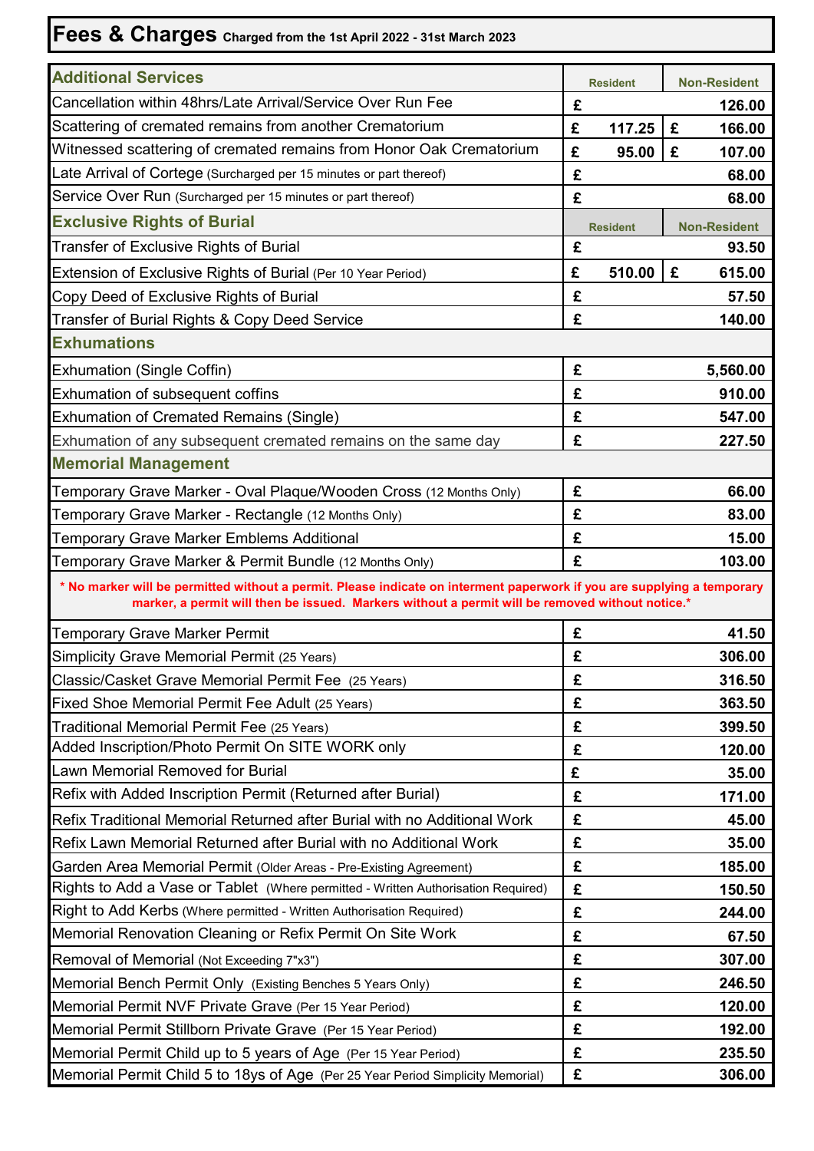## **Fees & Charges Charged from the 1st April 2022 - 31st March 2023**

| <b>Additional Services</b>                                                                                                                                                                                                 |   | <b>Resident</b> |   | <b>Non-Resident</b> |  |  |
|----------------------------------------------------------------------------------------------------------------------------------------------------------------------------------------------------------------------------|---|-----------------|---|---------------------|--|--|
| Cancellation within 48hrs/Late Arrival/Service Over Run Fee                                                                                                                                                                | £ |                 |   | 126.00              |  |  |
| Scattering of cremated remains from another Crematorium                                                                                                                                                                    | £ | 117.25          | £ | 166.00              |  |  |
| Witnessed scattering of cremated remains from Honor Oak Crematorium                                                                                                                                                        | £ | 95.00           | £ | 107.00              |  |  |
| Late Arrival of Cortege (Surcharged per 15 minutes or part thereof)                                                                                                                                                        | £ |                 |   | 68.00               |  |  |
| Service Over Run (Surcharged per 15 minutes or part thereof)                                                                                                                                                               | £ |                 |   | 68.00               |  |  |
| <b>Exclusive Rights of Burial</b>                                                                                                                                                                                          |   | <b>Resident</b> |   | <b>Non-Resident</b> |  |  |
| Transfer of Exclusive Rights of Burial                                                                                                                                                                                     | £ |                 |   | 93.50               |  |  |
| Extension of Exclusive Rights of Burial (Per 10 Year Period)                                                                                                                                                               | £ | 510.00          | £ | 615.00              |  |  |
| Copy Deed of Exclusive Rights of Burial                                                                                                                                                                                    | £ |                 |   | 57.50               |  |  |
| Transfer of Burial Rights & Copy Deed Service                                                                                                                                                                              | £ |                 |   | 140.00              |  |  |
| <b>Exhumations</b>                                                                                                                                                                                                         |   |                 |   |                     |  |  |
| <b>Exhumation (Single Coffin)</b>                                                                                                                                                                                          | £ |                 |   | 5,560.00            |  |  |
| Exhumation of subsequent coffins                                                                                                                                                                                           | £ |                 |   | 910.00              |  |  |
| <b>Exhumation of Cremated Remains (Single)</b>                                                                                                                                                                             | £ |                 |   | 547.00              |  |  |
| Exhumation of any subsequent cremated remains on the same day                                                                                                                                                              | £ |                 |   | 227.50              |  |  |
| <b>Memorial Management</b>                                                                                                                                                                                                 |   |                 |   |                     |  |  |
| Temporary Grave Marker - Oval Plaque/Wooden Cross (12 Months Only)                                                                                                                                                         | £ |                 |   | 66.00               |  |  |
| Temporary Grave Marker - Rectangle (12 Months Only)                                                                                                                                                                        |   |                 |   | 83.00               |  |  |
| <b>Temporary Grave Marker Emblems Additional</b>                                                                                                                                                                           |   |                 |   | 15.00               |  |  |
| Temporary Grave Marker & Permit Bundle (12 Months Only)                                                                                                                                                                    | £ |                 |   | 103.00              |  |  |
| * No marker will be permitted without a permit. Please indicate on interment paperwork if you are supplying a temporary<br>marker, a permit will then be issued. Markers without a permit will be removed without notice.* |   |                 |   |                     |  |  |
| <b>Temporary Grave Marker Permit</b>                                                                                                                                                                                       | £ |                 |   | 41.50               |  |  |
| Simplicity Grave Memorial Permit (25 Years)                                                                                                                                                                                | £ |                 |   | 306.00              |  |  |
| Classic/Casket Grave Memorial Permit Fee (25 Years)                                                                                                                                                                        | £ |                 |   | 316.50              |  |  |
| Fixed Shoe Memorial Permit Fee Adult (25 Years)                                                                                                                                                                            | £ |                 |   | 363.50              |  |  |
| Traditional Memorial Permit Fee (25 Years)                                                                                                                                                                                 |   |                 |   | 399.50              |  |  |
| Added Inscription/Photo Permit On SITE WORK only                                                                                                                                                                           | £ |                 |   | 120.00              |  |  |
| Lawn Memorial Removed for Burial                                                                                                                                                                                           | £ |                 |   | 35.00               |  |  |
| Refix with Added Inscription Permit (Returned after Burial)                                                                                                                                                                | £ |                 |   | 171.00              |  |  |
| Refix Traditional Memorial Returned after Burial with no Additional Work                                                                                                                                                   | £ |                 |   | 45.00               |  |  |
| Refix Lawn Memorial Returned after Burial with no Additional Work                                                                                                                                                          | £ |                 |   | 35.00               |  |  |
| Garden Area Memorial Permit (Older Areas - Pre-Existing Agreement)                                                                                                                                                         | £ |                 |   | 185.00              |  |  |
| Rights to Add a Vase or Tablet (Where permitted - Written Authorisation Required)                                                                                                                                          |   |                 |   | 150.50              |  |  |
| Right to Add Kerbs (Where permitted - Written Authorisation Required)                                                                                                                                                      | £ |                 |   | 244.00              |  |  |
| Memorial Renovation Cleaning or Refix Permit On Site Work                                                                                                                                                                  |   |                 |   | 67.50               |  |  |
| Removal of Memorial (Not Exceeding 7"x3")                                                                                                                                                                                  |   |                 |   | 307.00              |  |  |
| Memorial Bench Permit Only (Existing Benches 5 Years Only)                                                                                                                                                                 | £ |                 |   | 246.50              |  |  |
| Memorial Permit NVF Private Grave (Per 15 Year Period)                                                                                                                                                                     |   |                 |   | 120.00              |  |  |
| Memorial Permit Stillborn Private Grave (Per 15 Year Period)                                                                                                                                                               | £ |                 |   | 192.00              |  |  |
| Memorial Permit Child up to 5 years of Age (Per 15 Year Period)                                                                                                                                                            | £ |                 |   | 235.50              |  |  |
| Memorial Permit Child 5 to 18ys of Age (Per 25 Year Period Simplicity Memorial)                                                                                                                                            | £ |                 |   | 306.00              |  |  |